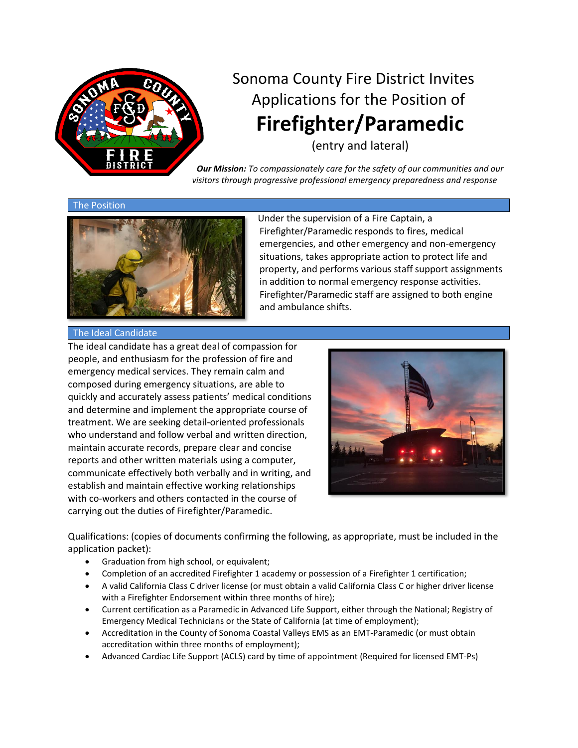

# Sonoma County Fire District Invites Applications for the Position of **Firefighter/Paramedic**

(entry and lateral)

*Our Mission: To compassionately care for the safety of our communities and our visitors through progressive professional emergency preparedness and response*

#### The Position



Under the supervision of a Fire Captain, a Firefighter/Paramedic responds to fires, medical emergencies, and other emergency and non-emergency situations, takes appropriate action to protect life and property, and performs various staff support assignments in addition to normal emergency response activities. Firefighter/Paramedic staff are assigned to both engine and ambulance shifts.

#### The Ideal Candidate

The ideal candidate has a great deal of compassion for people, and enthusiasm for the profession of fire and emergency medical services. They remain calm and composed during emergency situations, are able to quickly and accurately assess patients' medical conditions and determine and implement the appropriate course of treatment. We are seeking detail-oriented professionals who understand and follow verbal and written direction, maintain accurate records, prepare clear and concise reports and other written materials using a computer, communicate effectively both verbally and in writing, and establish and maintain effective working relationships with co-workers and others contacted in the course of carrying out the duties of Firefighter/Paramedic.



Qualifications: (copies of documents confirming the following, as appropriate, must be included in the application packet):

- Graduation from high school, or equivalent;
- Completion of an accredited Firefighter 1 academy or possession of a Firefighter 1 certification;
- A valid California Class C driver license (or must obtain a valid California Class C or higher driver license with a Firefighter Endorsement within three months of hire);
- Current certification as a Paramedic in Advanced Life Support, either through the National; Registry of Emergency Medical Technicians or the State of California (at time of employment);
- Accreditation in the County of Sonoma Coastal Valleys EMS as an EMT-Paramedic (or must obtain accreditation within three months of employment);
- Advanced Cardiac Life Support (ACLS) card by time of appointment (Required for licensed EMT-Ps)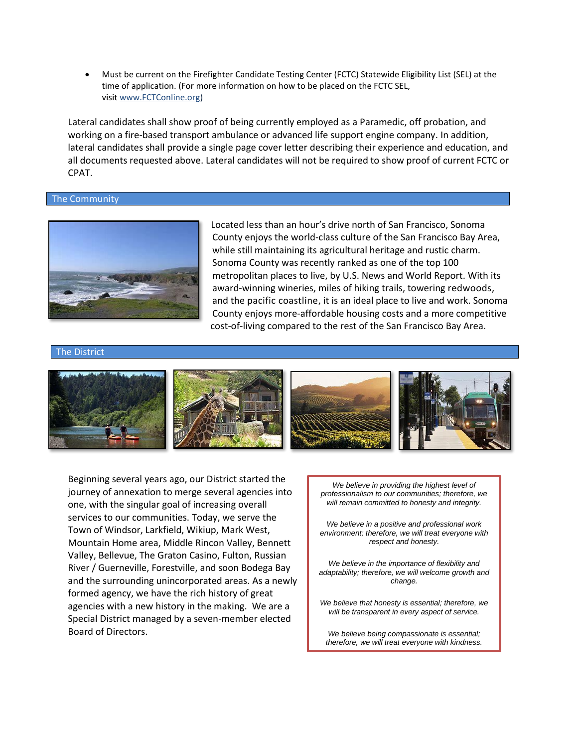• Must be current on the Firefighter Candidate Testing Center (FCTC) Statewide Eligibility List (SEL) at the time of application. (For more information on how to be placed on the FCTC SEL, visit [www.FCTConline.org\)](https://m365.us.vadesecure.com/safeproxy/v3?f=9G6fgdAmxCaK_Hy5OzYRzRUqIelXqqXK2VnKvE7jlTM&i=W1Ka7FOc65qAv9w0dZD8n7kBiNBaMAwR_kNRtit_sDA1G2L0Eet6g9fjY8jLYE2G5akesOmLvWrNGq9prE9NvA&k=YxO5&r=RoyjjRRqrxyBIvc6UIJ1ejaAASje4gQoJ0AECTJOT_MnI9s6PHCdN-G3UDsXlsft&u=https%3A%2F%2Flinkprotect.cudasvc.com%2Furl%3Fa%3Dhttp%253a%252f%252fwww.fctconline.org%252f%26c%3DE%2C1%2CCJdxGhVuvL8mKsWpbAlBnslzO1ttb3CxhRLH8ApZ1wXOz3Xfj4ADcZ14faFCc7lfeHU1HaBTHyBFEWxvQ5WWwKaZewgZdBkJmUzOeQku73jY8lXsCw%2C%2C%26typo%3D1)

Lateral candidates shall show proof of being currently employed as a Paramedic, off probation, and working on a fire-based transport ambulance or advanced life support engine company. In addition, lateral candidates shall provide a single page cover letter describing their experience and education, and all documents requested above. Lateral candidates will not be required to show proof of current FCTC or CPAT.

# The Community



Located less than an hour's drive north of San Francisco, Sonoma County enjoys the world-class culture of the San Francisco Bay Area, while still maintaining its agricultural heritage and rustic charm. Sonoma County was recently ranked as one of the top [100](http://realestate.usnews.com/places/california/santa-rosa) [metropolitan](http://realestate.usnews.com/places/california/santa-rosa) places to live, by U.S. News and World Report. With its award-winning wineries, miles of hiking trails, towering [redwoods,](https://www.sonomacounty.com/regions/redwoods-rivers) and the [pacific coastline,](https://www.sonomacounty.com/regions/coast-sea-villages) it is an ideal place to live and work. Sonoma County enjoys more-affordable housing costs and a more competitive cost-of-living compared to the rest of the San Francisco Bay Area.

#### The District



Beginning several years ago, our District started the journey of annexation to merge several agencies into one, with the singular goal of increasing overall services to our communities. Today, we serve the Town of Windsor, Larkfield, Wikiup, Mark West, Mountain Home area, Middle Rincon Valley, Bennett Valley, Bellevue, The Graton Casino, Fulton, Russian River / Guerneville, Forestville, and soon Bodega Bay and the surrounding unincorporated areas. As a newly formed agency, we have the rich history of great agencies with a new history in the making. We are a Special District managed by a seven-member elected Board of Directors.

*We believe in providing the highest level of professionalism to our communities; therefore, we will remain committed to honesty and integrity.*

*We believe in a positive and professional work environment; therefore, we will treat everyone with respect and honesty.*

*We believe in the importance of flexibility and adaptability; therefore, we will welcome growth and change.*

*We believe that honesty is essential; therefore, we will be transparent in every aspect of service.*

*We believe being compassionate is essential; therefore, we will treat everyone with kindness.*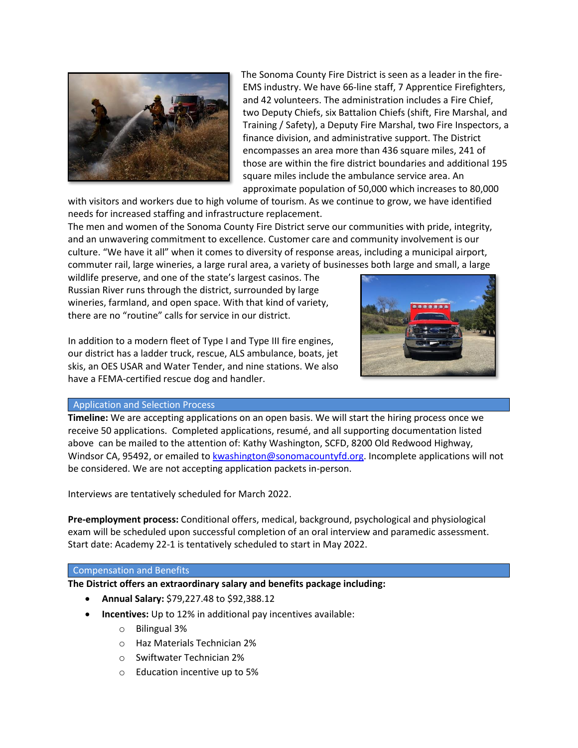

The Sonoma County Fire District is seen as a leader in the fire-EMS industry. We have 66-line staff, 7 Apprentice Firefighters, and 42 volunteers. The administration includes a Fire Chief, two Deputy Chiefs, six Battalion Chiefs (shift, Fire Marshal, and Training / Safety), a Deputy Fire Marshal, two Fire Inspectors, a finance division, and administrative support. The District encompasses an area more than 436 square miles, 241 of those are within the fire district boundaries and additional 195 square miles include the ambulance service area. An approximate population of 50,000 which increases to 80,000

with visitors and workers due to high volume of tourism. As we continue to grow, we have identified needs for increased staffing and infrastructure replacement.

The men and women of the Sonoma County Fire District serve our communities with pride, integrity, and an unwavering commitment to excellence. Customer care and community involvement is our culture. "We have it all" when it comes to diversity of response areas, including a municipal airport, commuter rail, large wineries, a large rural area, a variety of businesses both large and small, a large

wildlife preserve, and one of the state's largest casinos. The Russian River runs through the district, surrounded by large wineries, farmland, and open space. With that kind of variety, there are no "routine" calls for service in our district.

In addition to a modern fleet of Type I and Type III fire engines, our district has a ladder truck, rescue, ALS ambulance, boats, jet skis, an OES USAR and Water Tender, and nine stations. We also have a FEMA-certified rescue dog and handler.



# Application and Selection Process

**Timeline:** We are accepting applications on an open basis. We will start the hiring process once we receive 50 applications. Completed applications, resumé, and all supporting documentation listed above can be mailed to the attention of: Kathy Washington, SCFD, 8200 Old Redwood Highway, Windsor CA, 95492, or emailed to [kwashington@sonomacountyfd.org.](mailto:kwashington@sonomacountyfd.org) Incomplete applications will not be considered. We are not accepting application packets in-person.

Interviews are tentatively scheduled for March 2022.

**Pre-employment process:** Conditional offers, medical, background, psychological and physiological exam will be scheduled upon successful completion of an oral interview and paramedic assessment. Start date: Academy 22-1 is tentatively scheduled to start in May 2022.

# Compensation and Benefits

**The District offers an extraordinary salary and benefits package including:**

- **Annual Salary:** \$79,227.48 to \$92,388.12
- **Incentives:** Up to 12% in additional pay incentives available:
	- o Bilingual 3%
	- o Haz Materials Technician 2%
	- o Swiftwater Technician 2%
	- o Education incentive up to 5%